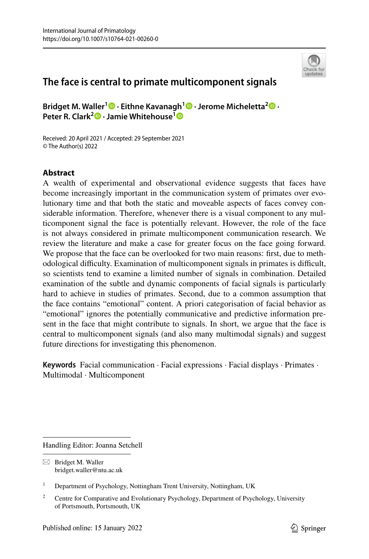

# **The face is central to primate multicomponent signals**

**Bridget M. Waller1 · Eithne Kavanagh[1](http://orcid.org/0000-0001-7202-005X) · Jerome Micheletta[2](http://orcid.org/0000-0002-4480-6781) · Peter R. Clark<sup>2</sup>  [·](http://orcid.org/0000-0001-6725-7781) Jamie Whitehouse[1](http://orcid.org/0000-0003-2607-5492)**

Received: 20 April 2021 / Accepted: 29 September 2021 © The Author(s) 2022

# **Abstract**

A wealth of experimental and observational evidence suggests that faces have become increasingly important in the communication system of primates over evolutionary time and that both the static and moveable aspects of faces convey considerable information. Therefore, whenever there is a visual component to any multicomponent signal the face is potentially relevant. However, the role of the face is not always considered in primate multicomponent communication research. We review the literature and make a case for greater focus on the face going forward. We propose that the face can be overlooked for two main reasons: frst, due to methodological difculty. Examination of multicomponent signals in primates is difcult, so scientists tend to examine a limited number of signals in combination. Detailed examination of the subtle and dynamic components of facial signals is particularly hard to achieve in studies of primates. Second, due to a common assumption that the face contains "emotional" content. A priori categorisation of facial behavior as "emotional" ignores the potentially communicative and predictive information present in the face that might contribute to signals. In short, we argue that the face is central to multicomponent signals (and also many multimodal signals) and suggest future directions for investigating this phenomenon.

**Keywords** Facial communication · Facial expressions · Facial displays · Primates · Multimodal · Multicomponent

Handling Editor: Joanna Setchell

 $\boxtimes$  Bridget M. Waller bridget.waller@ntu.ac.uk

<sup>&</sup>lt;sup>1</sup> Department of Psychology, Nottingham Trent University, Nottingham, UK

<sup>&</sup>lt;sup>2</sup> Centre for Comparative and Evolutionary Psychology, Department of Psychology, University of Portsmouth, Portsmouth, UK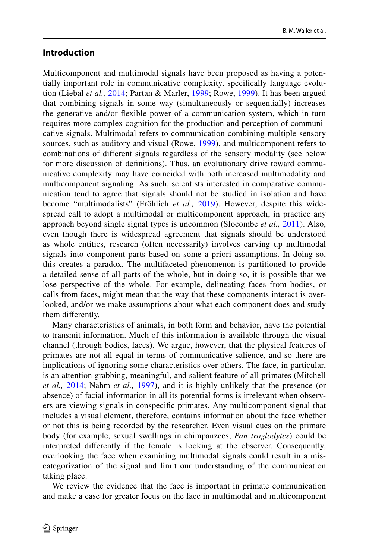#### **Introduction**

Multicomponent and multimodal signals have been proposed as having a potentially important role in communicative complexity, specifcally language evolution (Liebal *et al.,* [2014](#page-14-0); Partan & Marler, [1999;](#page-15-0) Rowe, [1999\)](#page-15-1). It has been argued that combining signals in some way (simultaneously or sequentially) increases the generative and/or fexible power of a communication system, which in turn requires more complex cognition for the production and perception of communicative signals. Multimodal refers to communication combining multiple sensory sources, such as auditory and visual (Rowe, [1999\)](#page-15-1), and multicomponent refers to combinations of diferent signals regardless of the sensory modality (see below for more discussion of defnitions). Thus, an evolutionary drive toward communicative complexity may have coincided with both increased multimodality and multicomponent signaling. As such, scientists interested in comparative communication tend to agree that signals should not be studied in isolation and have become "multimodalists" (Fröhlich *et al.,* [2019\)](#page-13-0). However, despite this widespread call to adopt a multimodal or multicomponent approach, in practice any approach beyond single signal types is uncommon (Slocombe *et al.,* [2011](#page-15-2)). Also, even though there is widespread agreement that signals should be understood as whole entities, research (often necessarily) involves carving up multimodal signals into component parts based on some a priori assumptions. In doing so, this creates a paradox. The multifaceted phenomenon is partitioned to provide a detailed sense of all parts of the whole, but in doing so, it is possible that we lose perspective of the whole. For example, delineating faces from bodies, or calls from faces, might mean that the way that these components interact is overlooked, and/or we make assumptions about what each component does and study them diferently.

Many characteristics of animals, in both form and behavior, have the potential to transmit information. Much of this information is available through the visual channel (through bodies, faces). We argue, however, that the physical features of primates are not all equal in terms of communicative salience, and so there are implications of ignoring some characteristics over others. The face, in particular, is an attention grabbing, meaningful, and salient feature of all primates (Mitchell *et al.,* [2014;](#page-14-1) Nahm *et al.,* [1997](#page-14-2)), and it is highly unlikely that the presence (or absence) of facial information in all its potential forms is irrelevant when observers are viewing signals in conspecifc primates. Any multicomponent signal that includes a visual element, therefore, contains information about the face whether or not this is being recorded by the researcher. Even visual cues on the primate body (for example, sexual swellings in chimpanzees, *Pan troglodytes*) could be interpreted diferently if the female is looking at the observer. Consequently, overlooking the face when examining multimodal signals could result in a miscategorization of the signal and limit our understanding of the communication taking place.

We review the evidence that the face is important in primate communication and make a case for greater focus on the face in multimodal and multicomponent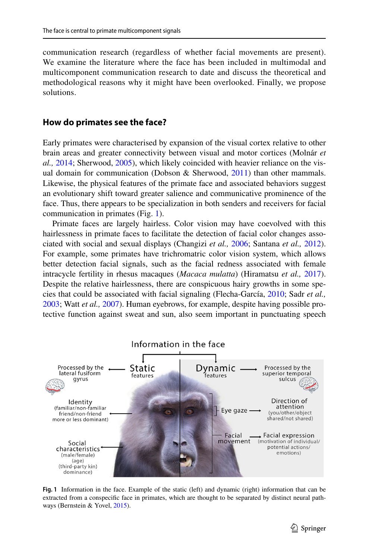communication research (regardless of whether facial movements are present). We examine the literature where the face has been included in multimodal and multicomponent communication research to date and discuss the theoretical and methodological reasons why it might have been overlooked. Finally, we propose solutions.

#### **How do primates see the face?**

Early primates were characterised by expansion of the visual cortex relative to other brain areas and greater connectivity between visual and motor cortices (Molnár *et al.,* [2014](#page-14-3); Sherwood, [2005](#page-15-3)), which likely coincided with heavier reliance on the vis-ual domain for communication (Dobson & Sherwood, [2011\)](#page-13-1) than other mammals. Likewise, the physical features of the primate face and associated behaviors suggest an evolutionary shift toward greater salience and communicative prominence of the face. Thus, there appears to be specialization in both senders and receivers for facial communication in primates (Fig. [1\)](#page-2-0).

Primate faces are largely hairless. Color vision may have coevolved with this hairlessness in primate faces to facilitate the detection of facial color changes associated with social and sexual displays (Changizi *et al.,* [2006;](#page-13-2) Santana *et al.,* [2012\)](#page-15-4). For example, some primates have trichromatric color vision system, which allows better detection facial signals, such as the facial redness associated with female intracycle fertility in rhesus macaques (*Macaca mulatta*) (Hiramatsu *et al.,* [2017\)](#page-14-4). Despite the relative hairlessness, there are conspicuous hairy growths in some species that could be associated with facial signaling (Flecha-García, [2010;](#page-13-3) Sadr *et al.,* [2003](#page-15-5); Watt *et al.,* [2007](#page-16-0)). Human eyebrows, for example, despite having possible protective function against sweat and sun, also seem important in punctuating speech



<span id="page-2-0"></span>**Fig. 1** Information in the face. Example of the static (left) and dynamic (right) information that can be extracted from a conspecifc face in primates, which are thought to be separated by distinct neural pathways (Bernstein & Yovel, [2015](#page-12-0)).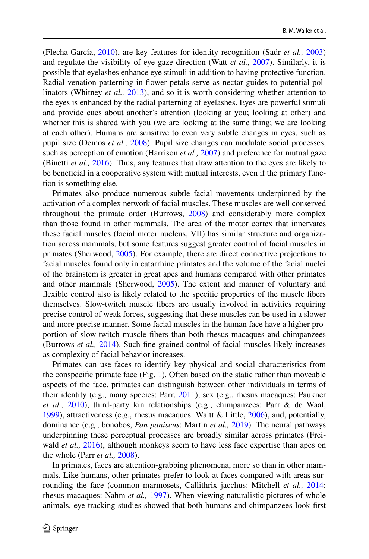(Flecha-García, [2010\)](#page-13-3), are key features for identity recognition (Sadr *et al.,* [2003](#page-15-5)) and regulate the visibility of eye gaze direction (Watt *et al.,* [2007](#page-16-0)). Similarly, it is possible that eyelashes enhance eye stimuli in addition to having protective function. Radial venation patterning in fower petals serve as nectar guides to potential pollinators (Whitney *et al.,* [2013\)](#page-16-1), and so it is worth considering whether attention to the eyes is enhanced by the radial patterning of eyelashes. Eyes are powerful stimuli and provide cues about another's attention (looking at you; looking at other) and whether this is shared with you (we are looking at the same thing; we are looking at each other). Humans are sensitive to even very subtle changes in eyes, such as pupil size (Demos *et al.,* [2008](#page-13-4)). Pupil size changes can modulate social processes, such as perception of emotion (Harrison *et al.,* [2007](#page-14-5)) and preference for mutual gaze (Binetti *et al.,* [2016](#page-12-1)). Thus, any features that draw attention to the eyes are likely to be benefcial in a cooperative system with mutual interests, even if the primary function is something else.

Primates also produce numerous subtle facial movements underpinned by the activation of a complex network of facial muscles. These muscles are well conserved throughout the primate order (Burrows, [2008\)](#page-13-5) and considerably more complex than those found in other mammals. The area of the motor cortex that innervates these facial muscles (facial motor nucleus, VII) has similar structure and organization across mammals, but some features suggest greater control of facial muscles in primates (Sherwood, [2005](#page-15-3)). For example, there are direct connective projections to facial muscles found only in catarrhine primates and the volume of the facial nuclei of the brainstem is greater in great apes and humans compared with other primates and other mammals (Sherwood, [2005\)](#page-15-3). The extent and manner of voluntary and fexible control also is likely related to the specifc properties of the muscle fbers themselves. Slow-twitch muscle fbers are usually involved in activities requiring precise control of weak forces, suggesting that these muscles can be used in a slower and more precise manner. Some facial muscles in the human face have a higher proportion of slow-twitch muscle fbers than both rhesus macaques and chimpanzees (Burrows *et al.,* [2014](#page-13-6)). Such fne-grained control of facial muscles likely increases as complexity of facial behavior increases.

Primates can use faces to identify key physical and social characteristics from the conspecifc primate face (Fig. [1\)](#page-2-0). Often based on the static rather than moveable aspects of the face, primates can distinguish between other individuals in terms of their identity (e.g., many species: Parr, [2011\)](#page-15-6), sex (e.g., rhesus macaques: Paukner *et al.,* [2010\)](#page-15-7), third-party kin relationships (e.g., chimpanzees: Parr & de Waal, [1999](#page-15-8)), attractiveness (e.g., rhesus macaques: Waitt & Little, [2006](#page-15-9)), and, potentially, dominance (e.g., bonobos, *Pan paniscus*: Martin *et al.,* [2019\)](#page-14-6). The neural pathways underpinning these perceptual processes are broadly similar across primates (Freiwald *et al.,* [2016](#page-13-7)), although monkeys seem to have less face expertise than apes on the whole (Parr *et al.,* [2008](#page-15-10)).

In primates, faces are attention-grabbing phenomena, more so than in other mammals. Like humans, other primates prefer to look at faces compared with areas surrounding the face (common marmosets, Callithrix jacchus: Mitchell *et al.,* [2014;](#page-14-1) rhesus macaques: Nahm *et al.,* [1997\)](#page-14-2). When viewing naturalistic pictures of whole animals, eye-tracking studies showed that both humans and chimpanzees look frst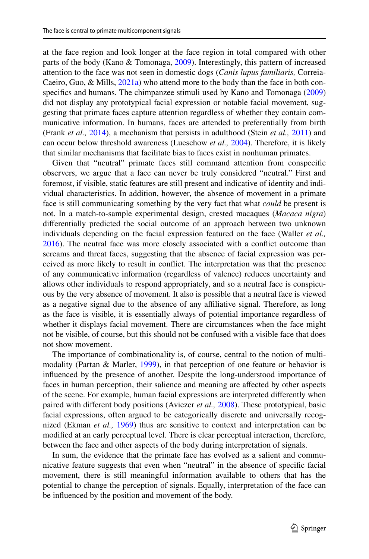at the face region and look longer at the face region in total compared with other parts of the body (Kano & Tomonaga, [2009](#page-14-7)). Interestingly, this pattern of increased attention to the face was not seen in domestic dogs (*Canis lupus familiaris,* Correia-Caeiro, Guo, & Mills, [2021a](#page-13-8)) who attend more to the body than the face in both con-specifics and humans. The chimpanzee stimuli used by Kano and Tomonaga [\(2009](#page-14-7)) did not display any prototypical facial expression or notable facial movement, suggesting that primate faces capture attention regardless of whether they contain communicative information. In humans, faces are attended to preferentially from birth (Frank *et al.,* [2014](#page-13-9)), a mechanism that persists in adulthood (Stein *et al.,* [2011\)](#page-15-11) and can occur below threshold awareness (Lueschow *et al.,* [2004](#page-14-8)). Therefore, it is likely that similar mechanisms that facilitate bias to faces exist in nonhuman primates.

Given that "neutral" primate faces still command attention from conspecifc observers, we argue that a face can never be truly considered "neutral." First and foremost, if visible, static features are still present and indicative of identity and individual characteristics. In addition, however, the absence of movement in a primate face is still communicating something by the very fact that what *could* be present is not. In a match-to-sample experimental design, crested macaques (*Macaca nigra*) diferentially predicted the social outcome of an approach between two unknown individuals depending on the facial expression featured on the face (Waller *et al.,* [2016](#page-16-2)). The neutral face was more closely associated with a confict outcome than screams and threat faces, suggesting that the absence of facial expression was perceived as more likely to result in confict. The interpretation was that the presence of any communicative information (regardless of valence) reduces uncertainty and allows other individuals to respond appropriately, and so a neutral face is conspicuous by the very absence of movement. It also is possible that a neutral face is viewed as a negative signal due to the absence of any afliative signal. Therefore, as long as the face is visible, it is essentially always of potential importance regardless of whether it displays facial movement. There are circumstances when the face might not be visible, of course, but this should not be confused with a visible face that does not show movement.

The importance of combinationality is, of course, central to the notion of multimodality (Partan & Marler, [1999\)](#page-15-0), in that perception of one feature or behavior is infuenced by the presence of another. Despite the long-understood importance of faces in human perception, their salience and meaning are afected by other aspects of the scene. For example, human facial expressions are interpreted diferently when paired with diferent body positions (Aviezer *et al.,* [2008](#page-12-2)). These prototypical, basic facial expressions, often argued to be categorically discrete and universally recognized (Ekman *et al.,* [1969](#page-13-10)) thus are sensitive to context and interpretation can be modifed at an early perceptual level. There is clear perceptual interaction, therefore, between the face and other aspects of the body during interpretation of signals.

In sum, the evidence that the primate face has evolved as a salient and communicative feature suggests that even when "neutral" in the absence of specifc facial movement, there is still meaningful information available to others that has the potential to change the perception of signals. Equally, interpretation of the face can be infuenced by the position and movement of the body.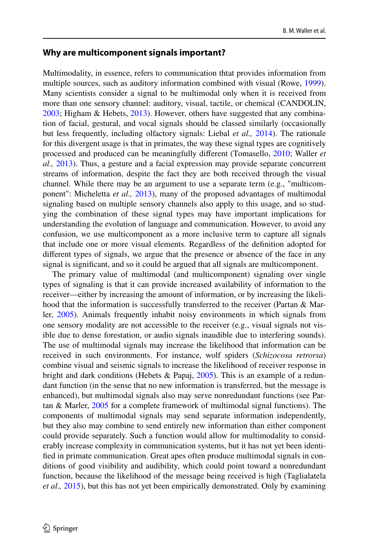#### **Why are multicomponent signals important?**

Multimodality, in essence, refers to communication thtat provides information from multiple sources, such as auditory information combined with visual (Rowe, [1999\)](#page-15-1). Many scientists consider a signal to be multimodal only when it is received from more than one sensory channel: auditory, visual, tactile, or chemical (CANDOLIN, [2003](#page-13-11); Higham & Hebets, [2013](#page-14-9)). However, others have suggested that any combination of facial, gestural, and vocal signals should be classed similarly (occasionally but less frequently, including olfactory signals: Liebal *et al.,* [2014\)](#page-14-0). The rationale for this divergent usage is that in primates, the way these signal types are cognitively processed and produced can be meaningfully diferent (Tomasello, [2010;](#page-15-12) Waller *et al.,* [2013\)](#page-16-3). Thus, a gesture and a facial expression may provide separate concurrent streams of information, despite the fact they are both received through the visual channel. While there may be an argument to use a separate term (e.g., "multicomponent": Micheletta *et al.,* [2013](#page-14-10)), many of the proposed advantages of multimodal signaling based on multiple sensory channels also apply to this usage, and so studying the combination of these signal types may have important implications for understanding the evolution of language and communication. However, to avoid any confusion, we use multicomponent as a more inclusive term to capture all signals that include one or more visual elements. Regardless of the defnition adopted for diferent types of signals, we argue that the presence or absence of the face in any signal is signifcant, and so it could be argued that all signals are multicomponent.

The primary value of multimodal (and multicomponent) signaling over single types of signaling is that it can provide increased availability of information to the receiver—either by increasing the amount of information, or by increasing the likelihood that the information is successfully transferred to the receiver (Partan & Marler, [2005\)](#page-15-13). Animals frequently inhabit noisy environments in which signals from one sensory modality are not accessible to the receiver (e.g., visual signals not visible due to dense forestation, or audio signals inaudible due to interfering sounds). The use of multimodal signals may increase the likelihood that information can be received in such environments. For instance, wolf spiders (*Schizocosa retrorsa*) combine visual and seismic signals to increase the likelihood of receiver response in bright and dark conditions (Hebets & Papaj,  $2005$ ). This is an example of a redundant function (in the sense that no new information is transferred, but the message is enhanced), but multimodal signals also may serve nonredundant functions (see Partan & Marler, [2005](#page-15-13) for a complete framework of multimodal signal functions). The components of multimodal signals may send separate information independently, but they also may combine to send entirely new information than either component could provide separately. Such a function would allow for multimodality to considerably increase complexity in communication systems, but it has not yet been identifed in primate communication. Great apes often produce multimodal signals in conditions of good visibility and audibility, which could point toward a nonredundant function, because the likelihood of the message being received is high (Taglialatela *et al.,* [2015](#page-15-14)), but this has not yet been empirically demonstrated. Only by examining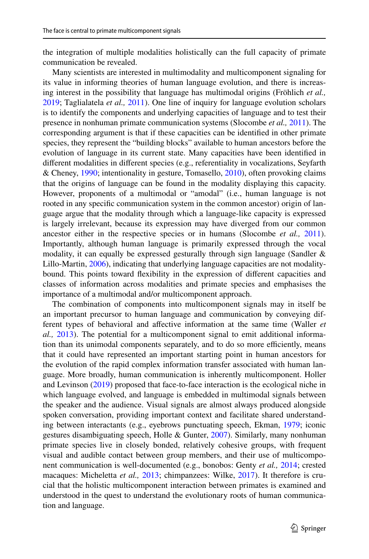the integration of multiple modalities holistically can the full capacity of primate communication be revealed.

Many scientists are interested in multimodality and multicomponent signaling for its value in informing theories of human language evolution, and there is increasing interest in the possibility that language has multimodal origins (Fröhlich *et al.,* [2019](#page-13-0); Taglialatela *et al.,* [2011](#page-15-15)). One line of inquiry for language evolution scholars is to identify the components and underlying capacities of language and to test their presence in nonhuman primate communication systems (Slocombe *et al.,* [2011\)](#page-15-2). The corresponding argument is that if these capacities can be identifed in other primate species, they represent the "building blocks" available to human ancestors before the evolution of language in its current state. Many capacities have been identifed in diferent modalities in diferent species (e.g., referentiality in vocalizations, Seyfarth & Cheney, [1990](#page-15-16); intentionality in gesture, Tomasello, [2010\)](#page-15-12), often provoking claims that the origins of language can be found in the modality displaying this capacity. However, proponents of a multimodal or "amodal" (i.e., human language is not rooted in any specifc communication system in the common ancestor) origin of language argue that the modality through which a language-like capacity is expressed is largely irrelevant, because its expression may have diverged from our common ancestor either in the respective species or in humans (Slocombe *et al.,* [2011\)](#page-15-2). Importantly, although human language is primarily expressed through the vocal modality, it can equally be expressed gesturally through sign language (Sandler & Lillo-Martin, [2006](#page-15-17)), indicating that underlying language capacities are not modalitybound. This points toward fexibility in the expression of diferent capacities and classes of information across modalities and primate species and emphasises the importance of a multimodal and/or multicomponent approach.

The combination of components into multicomponent signals may in itself be an important precursor to human language and communication by conveying different types of behavioral and affective information at the same time (Waller *et al.,* [2013\)](#page-16-3). The potential for a multicomponent signal to emit additional information than its unimodal components separately, and to do so more efficiently, means that it could have represented an important starting point in human ancestors for the evolution of the rapid complex information transfer associated with human language. More broadly, human communication is inherently multicomponent. Holler and Levinson ([2019\)](#page-14-12) proposed that face-to-face interaction is the ecological niche in which language evolved, and language is embedded in multimodal signals between the speaker and the audience. Visual signals are almost always produced alongside spoken conversation, providing important context and facilitate shared understanding between interactants (e.g., eyebrows punctuating speech, Ekman, [1979](#page-13-12); iconic gestures disambiguating speech, Holle & Gunter, [2007](#page-14-13)). Similarly, many nonhuman primate species live in closely bonded, relatively cohesive groups, with frequent visual and audible contact between group members, and their use of multicomponent communication is well-documented (e.g., bonobos: Genty *et al.,* [2014](#page-13-13); crested macaques: Micheletta *et al.,* [2013;](#page-14-10) chimpanzees: Wilke, [2017\)](#page-16-4). It therefore is crucial that the holistic multicomponent interaction between primates is examined and understood in the quest to understand the evolutionary roots of human communication and language.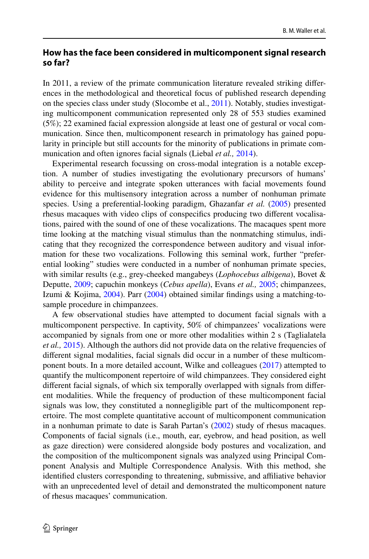# **How has the face been considered in multicomponent signal research so far?**

In 2011, a review of the primate communication literature revealed striking diferences in the methodological and theoretical focus of published research depending on the species class under study (Slocombe et al., [2011\)](#page-15-2). Notably, studies investigating multicomponent communication represented only 28 of 553 studies examined (5%); 22 examined facial expression alongside at least one of gestural or vocal communication. Since then, multicomponent research in primatology has gained popularity in principle but still accounts for the minority of publications in primate communication and often ignores facial signals (Liebal *et al.,* [2014\)](#page-14-0).

Experimental research focussing on cross-modal integration is a notable exception. A number of studies investigating the evolutionary precursors of humans' ability to perceive and integrate spoken utterances with facial movements found evidence for this multisensory integration across a number of nonhuman primate species. Using a preferential-looking paradigm, Ghazanfar *et al.* ([2005\)](#page-14-14) presented rhesus macaques with video clips of conspecifcs producing two diferent vocalisations, paired with the sound of one of these vocalizations. The macaques spent more time looking at the matching visual stimulus than the nonmatching stimulus, indicating that they recognized the correspondence between auditory and visual information for these two vocalizations. Following this seminal work, further "preferential looking" studies were conducted in a number of nonhuman primate species, with similar results (e.g., grey-cheeked mangabeys (*Lophocebus albigena*), Bovet & Deputte, [2009](#page-13-14); capuchin monkeys (*Cebus apella*), Evans *et al.,* [2005;](#page-13-15) chimpanzees, Izumi & Kojima, [2004](#page-14-15)). Parr [\(2004](#page-14-16)) obtained similar fndings using a matching-tosample procedure in chimpanzees.

A few observational studies have attempted to document facial signals with a multicomponent perspective. In captivity, 50% of chimpanzees' vocalizations were accompanied by signals from one or more other modalities within 2 s (Taglialatela *et al.,* [2015\)](#page-15-14). Although the authors did not provide data on the relative frequencies of diferent signal modalities, facial signals did occur in a number of these multicomponent bouts. In a more detailed account, Wilke and colleagues [\(2017](#page-16-4)) attempted to quantify the multicomponent repertoire of wild chimpanzees. They considered eight diferent facial signals, of which six temporally overlapped with signals from diferent modalities. While the frequency of production of these multicomponent facial signals was low, they constituted a nonnegligible part of the multicomponent repertoire. The most complete quantitative account of multicomponent communication in a nonhuman primate to date is Sarah Partan's ([2002\)](#page-15-18) study of rhesus macaques. Components of facial signals (i.e., mouth, ear, eyebrow, and head position, as well as gaze direction) were considered alongside body postures and vocalization, and the composition of the multicomponent signals was analyzed using Principal Component Analysis and Multiple Correspondence Analysis. With this method, she identifed clusters corresponding to threatening, submissive, and afliative behavior with an unprecedented level of detail and demonstrated the multicomponent nature of rhesus macaques' communication.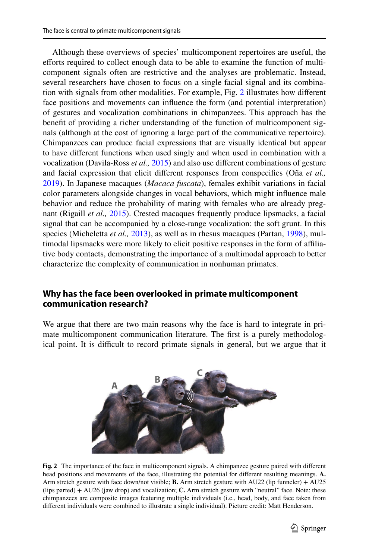Although these overviews of species' multicomponent repertoires are useful, the efforts required to collect enough data to be able to examine the function of multicomponent signals often are restrictive and the analyses are problematic. Instead, several researchers have chosen to focus on a single facial signal and its combination with signals from other modalities. For example, Fig. [2](#page-8-0) illustrates how diferent face positions and movements can infuence the form (and potential interpretation) of gestures and vocalization combinations in chimpanzees. This approach has the beneft of providing a richer understanding of the function of multicomponent signals (although at the cost of ignoring a large part of the communicative repertoire). Chimpanzees can produce facial expressions that are visually identical but appear to have diferent functions when used singly and when used in combination with a vocalization (Davila-Ross *et al.,* [2015\)](#page-13-16) and also use diferent combinations of gesture and facial expression that elicit diferent responses from conspecifcs (Oña *et al.,* [2019](#page-14-17)). In Japanese macaques (*Macaca fuscata*), females exhibit variations in facial color parameters alongside changes in vocal behaviors, which might infuence male behavior and reduce the probability of mating with females who are already pregnant (Rigaill *et al.,* [2015](#page-15-19)). Crested macaques frequently produce lipsmacks, a facial signal that can be accompanied by a close-range vocalization: the soft grunt. In this species (Micheletta *et al.,* [2013](#page-14-10)), as well as in rhesus macaques (Partan, [1998](#page-15-20)), multimodal lipsmacks were more likely to elicit positive responses in the form of afliative body contacts, demonstrating the importance of a multimodal approach to better characterize the complexity of communication in nonhuman primates.

### **Why has the face been overlooked in primate multicomponent communication research?**

We argue that there are two main reasons why the face is hard to integrate in primate multicomponent communication literature. The frst is a purely methodological point. It is difficult to record primate signals in general, but we argue that it



<span id="page-8-0"></span>**Fig. 2** The importance of the face in multicomponent signals. A chimpanzee gesture paired with diferent head positions and movements of the face, illustrating the potential for diferent resulting meanings. **A.** Arm stretch gesture with face down/not visible; **B.** Arm stretch gesture with AU22 (lip funneler) + AU25 (lips parted) + AU26 (jaw drop) and vocalization; **C.** Arm stretch gesture with "neutral" face. Note: these chimpanzees are composite images featuring multiple individuals (i.e., head, body, and face taken from diferent individuals were combined to illustrate a single individual). Picture credit: Matt Henderson.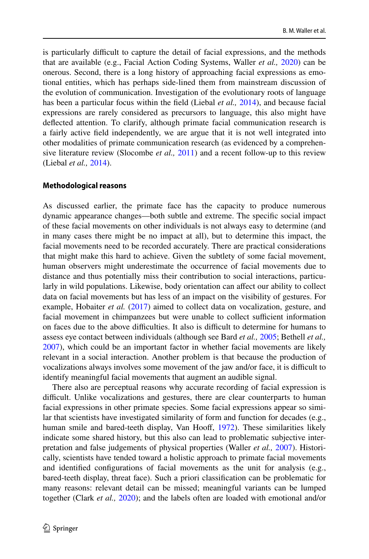is particularly difficult to capture the detail of facial expressions, and the methods that are available (e.g., Facial Action Coding Systems, Waller *et al.,* [2020\)](#page-16-5) can be onerous. Second, there is a long history of approaching facial expressions as emotional entities, which has perhaps side-lined them from mainstream discussion of the evolution of communication. Investigation of the evolutionary roots of language has been a particular focus within the feld (Liebal *et al.,* [2014](#page-14-0)), and because facial expressions are rarely considered as precursors to language, this also might have defected attention. To clarify, although primate facial communication research is a fairly active feld independently, we are argue that it is not well integrated into other modalities of primate communication research (as evidenced by a comprehensive literature review (Slocombe *et al.,* [2011\)](#page-15-2) and a recent follow-up to this review (Liebal *et al.,* [2014](#page-14-0)).

#### **Methodological reasons**

As discussed earlier, the primate face has the capacity to produce numerous dynamic appearance changes—both subtle and extreme. The specifc social impact of these facial movements on other individuals is not always easy to determine (and in many cases there might be no impact at all), but to determine this impact, the facial movements need to be recorded accurately. There are practical considerations that might make this hard to achieve. Given the subtlety of some facial movement, human observers might underestimate the occurrence of facial movements due to distance and thus potentially miss their contribution to social interactions, particularly in wild populations. Likewise, body orientation can afect our ability to collect data on facial movements but has less of an impact on the visibility of gestures. For example, Hobaiter *et al.* [\(2017](#page-14-18)) aimed to collect data on vocalization, gesture, and facial movement in chimpanzees but were unable to collect sufficient information on faces due to the above difculties. It also is difcult to determine for humans to assess eye contact between individuals (although see Bard *et al.,* [2005;](#page-12-3) Bethell *et al.,* [2007](#page-12-4)), which could be an important factor in whether facial movements are likely relevant in a social interaction. Another problem is that because the production of vocalizations always involves some movement of the jaw and/or face, it is difficult to identify meaningful facial movements that augment an audible signal.

There also are perceptual reasons why accurate recording of facial expression is difficult. Unlike vocalizations and gestures, there are clear counterparts to human facial expressions in other primate species. Some facial expressions appear so similar that scientists have investigated similarity of form and function for decades (e.g., human smile and bared-teeth display, Van Hooff, [1972\)](#page-15-21). These similarities likely indicate some shared history, but this also can lead to problematic subjective interpretation and false judgements of physical properties (Waller *et al.,* [2007](#page-16-6)). Historically, scientists have tended toward a holistic approach to primate facial movements and identifed confgurations of facial movements as the unit for analysis (e.g., bared-teeth display, threat face). Such a priori classifcation can be problematic for many reasons: relevant detail can be missed; meaningful variants can be lumped together (Clark *et al.,* [2020](#page-13-17)); and the labels often are loaded with emotional and/or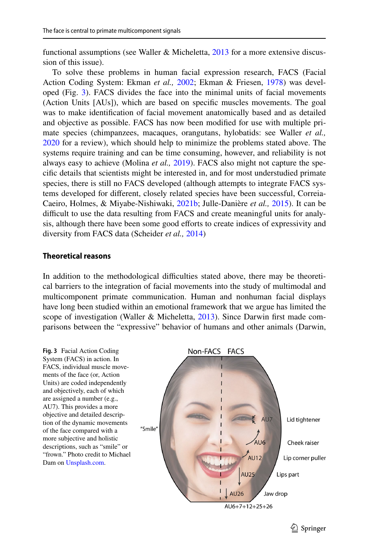functional assumptions (see Waller & Micheletta, [2013](#page-16-7) for a more extensive discussion of this issue).

To solve these problems in human facial expression research, FACS (Facial Action Coding System: Ekman *et al.,* [2002;](#page-13-18) Ekman & Friesen, [1978](#page-13-19)) was developed (Fig. [3](#page-10-0)). FACS divides the face into the minimal units of facial movements (Action Units [AUs]), which are based on specifc muscles movements. The goal was to make identifcation of facial movement anatomically based and as detailed and objective as possible. FACS has now been modifed for use with multiple primate species (chimpanzees, macaques, orangutans, hylobatids: see Waller *et al.,* [2020](#page-16-5) for a review), which should help to minimize the problems stated above. The systems require training and can be time consuming, however, and reliability is not always easy to achieve (Molina *et al.,* [2019\)](#page-14-19). FACS also might not capture the specifc details that scientists might be interested in, and for most understudied primate species, there is still no FACS developed (although attempts to integrate FACS systems developed for diferent, closely related species have been successful, Correia-Caeiro, Holmes, & Miyabe-Nishiwaki, [2021b;](#page-13-20) Julle-Danière *et al.,* [2015](#page-14-20)). It can be difficult to use the data resulting from FACS and create meaningful units for analysis, although there have been some good efforts to create indices of expressivity and diversity from FACS data (Scheider *et al.,* [2014\)](#page-15-22)

#### **Theoretical reasons**

In addition to the methodological difficulties stated above, there may be theoretical barriers to the integration of facial movements into the study of multimodal and multicomponent primate communication. Human and nonhuman facial displays have long been studied within an emotional framework that we argue has limited the scope of investigation (Waller & Micheletta, [2013\)](#page-16-7). Since Darwin first made comparisons between the "expressive" behavior of humans and other animals (Darwin,

<span id="page-10-0"></span>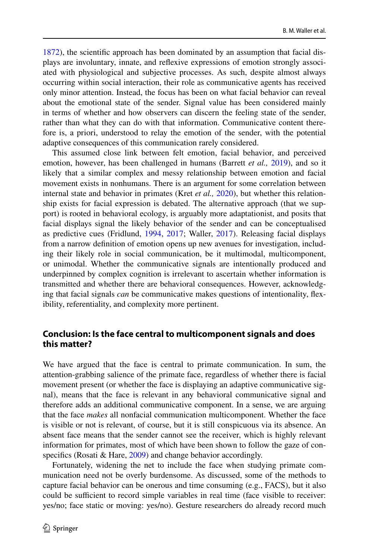[1872](#page-13-21)), the scientifc approach has been dominated by an assumption that facial displays are involuntary, innate, and refexive expressions of emotion strongly associated with physiological and subjective processes. As such, despite almost always occurring within social interaction, their role as communicative agents has received only minor attention. Instead, the focus has been on what facial behavior can reveal about the emotional state of the sender. Signal value has been considered mainly in terms of whether and how observers can discern the feeling state of the sender, rather than what they can do with that information. Communicative content therefore is, a priori, understood to relay the emotion of the sender, with the potential adaptive consequences of this communication rarely considered.

This assumed close link between felt emotion, facial behavior, and perceived emotion, however, has been challenged in humans (Barrett *et al.,* [2019\)](#page-12-5), and so it likely that a similar complex and messy relationship between emotion and facial movement exists in nonhumans. There is an argument for some correlation between internal state and behavior in primates (Kret *et al.,* [2020\)](#page-14-21), but whether this relationship exists for facial expression is debated. The alternative approach (that we support) is rooted in behavioral ecology, is arguably more adaptationist, and posits that facial displays signal the likely behavior of the sender and can be conceptualised as predictive cues (Fridlund, [1994](#page-13-22), [2017;](#page-13-23) Waller, [2017\)](#page-16-8). Releasing facial displays from a narrow defnition of emotion opens up new avenues for investigation, including their likely role in social communication, be it multimodal, multicomponent, or unimodal. Whether the communicative signals are intentionally produced and underpinned by complex cognition is irrelevant to ascertain whether information is transmitted and whether there are behavioral consequences. However, acknowledging that facial signals *can* be communicative makes questions of intentionality, fexibility, referentiality, and complexity more pertinent.

### **Conclusion: Is the face central to multicomponent signals and does this matter?**

We have argued that the face is central to primate communication. In sum, the attention-grabbing salience of the primate face, regardless of whether there is facial movement present (or whether the face is displaying an adaptive communicative signal), means that the face is relevant in any behavioral communicative signal and therefore adds an additional communicative component. In a sense, we are arguing that the face *makes* all nonfacial communication multicomponent. Whether the face is visible or not is relevant, of course, but it is still conspicuous via its absence. An absent face means that the sender cannot see the receiver, which is highly relevant information for primates, most of which have been shown to follow the gaze of con-specifics (Rosati & Hare, [2009\)](#page-15-23) and change behavior accordingly.

Fortunately, widening the net to include the face when studying primate communication need not be overly burdensome. As discussed, some of the methods to capture facial behavior can be onerous and time consuming (e.g., FACS), but it also could be sufficient to record simple variables in real time (face visible to receiver: yes/no; face static or moving: yes/no). Gesture researchers do already record much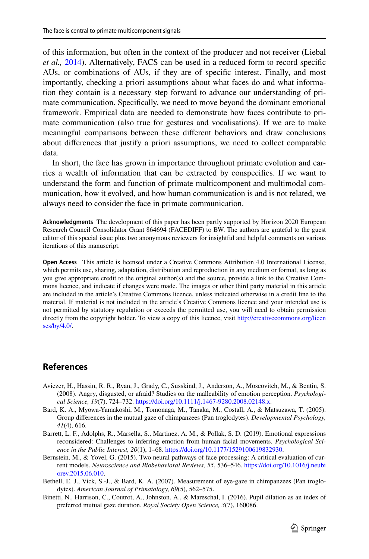of this information, but often in the context of the producer and not receiver (Liebal *et al.,* [2014](#page-14-0)). Alternatively, FACS can be used in a reduced form to record specifc AUs, or combinations of AUs, if they are of specifc interest. Finally, and most importantly, checking a priori assumptions about what faces do and what information they contain is a necessary step forward to advance our understanding of primate communication. Specifcally, we need to move beyond the dominant emotional framework. Empirical data are needed to demonstrate how faces contribute to primate communication (also true for gestures and vocalisations). If we are to make meaningful comparisons between these diferent behaviors and draw conclusions about diferences that justify a priori assumptions, we need to collect comparable data.

In short, the face has grown in importance throughout primate evolution and carries a wealth of information that can be extracted by conspecifcs. If we want to understand the form and function of primate multicomponent and multimodal communication, how it evolved, and how human communication is and is not related, we always need to consider the face in primate communication.

**Acknowledgments** The development of this paper has been partly supported by Horizon 2020 European Research Council Consolidator Grant 864694 (FACEDIFF) to BW. The authors are grateful to the guest editor of this special issue plus two anonymous reviewers for insightful and helpful comments on various iterations of this manuscript.

**Open Access** This article is licensed under a Creative Commons Attribution 4.0 International License, which permits use, sharing, adaptation, distribution and reproduction in any medium or format, as long as you give appropriate credit to the original author(s) and the source, provide a link to the Creative Commons licence, and indicate if changes were made. The images or other third party material in this article are included in the article's Creative Commons licence, unless indicated otherwise in a credit line to the material. If material is not included in the article's Creative Commons licence and your intended use is not permitted by statutory regulation or exceeds the permitted use, you will need to obtain permission directly from the copyright holder. To view a copy of this licence, visit [http://creativecommons.org/licen](http://creativecommons.org/licenses/by/4.0/) [ses/by/4.0/](http://creativecommons.org/licenses/by/4.0/).

# **References**

- <span id="page-12-2"></span>Aviezer, H., Hassin, R. R., Ryan, J., Grady, C., Susskind, J., Anderson, A., Moscovitch, M., & Bentin, S. (2008). Angry, disgusted, or afraid? Studies on the malleability of emotion perception. *Psychological Science, 19*(7), 724–732. [https://doi.org/10.1111/j.1467-9280.2008.02148.x.](https://doi.org/10.1111/j.1467-9280.2008.02148.x)
- <span id="page-12-3"></span>Bard, K. A., Myowa-Yamakoshi, M., Tomonaga, M., Tanaka, M., Costall, A., & Matsuzawa, T. (2005). Group diferences in the mutual gaze of chimpanzees (Pan troglodytes). *Developmental Psychology, 41*(4), 616.
- <span id="page-12-5"></span>Barrett, L. F., Adolphs, R., Marsella, S., Martinez, A. M., & Pollak, S. D. (2019). Emotional expressions reconsidered: Challenges to inferring emotion from human facial movements. *Psychological Science in the Public Interest, 20*(1), 1–68. <https://doi.org/10.1177/1529100619832930>.
- <span id="page-12-0"></span>Bernstein, M., & Yovel, G. (2015). Two neural pathways of face processing: A critical evaluation of current models. *Neuroscience and Biobehavioral Reviews, 55*, 536–546. [https://doi.org/10.1016/j.neubi](https://doi.org/10.1016/j.neubiorev.2015.06.010) [orev.2015.06.010](https://doi.org/10.1016/j.neubiorev.2015.06.010).
- <span id="page-12-4"></span>Bethell, E. J., Vick, S.-J., & Bard, K. A. (2007). Measurement of eye-gaze in chimpanzees (Pan troglodytes). *American Journal of Primatology, 69*(5), 562–575.
- <span id="page-12-1"></span>Binetti, N., Harrison, C., Coutrot, A., Johnston, A., & Mareschal, I. (2016). Pupil dilation as an index of preferred mutual gaze duration. *Royal Society Open Science, 3*(7), 160086.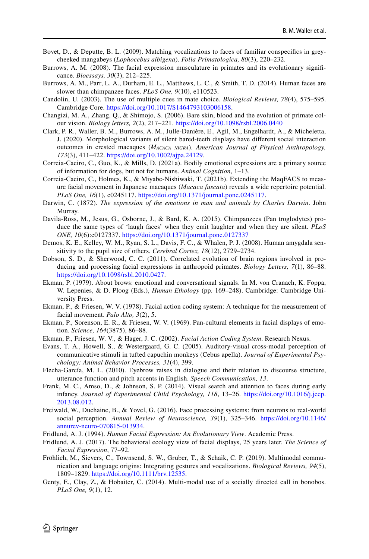- <span id="page-13-14"></span>Bovet, D., & Deputte, B. L. (2009). Matching vocalizations to faces of familiar conspecifcs in greycheeked mangabeys (*Lophocebus albigena*). *Folia Primatologica, 80*(3), 220–232.
- <span id="page-13-5"></span>Burrows, A. M. (2008). The facial expression musculature in primates and its evolutionary signifcance. *Bioessays, 30*(3), 212–225.
- <span id="page-13-6"></span>Burrows, A. M., Parr, L. A., Durham, E. L., Matthews, L. C., & Smith, T. D. (2014). Human faces are slower than chimpanzee faces. *PLoS One, 9*(10), e110523.
- <span id="page-13-11"></span>Candolin, U. (2003). The use of multiple cues in mate choice. *Biological Reviews, 78*(4), 575–595. Cambridge Core. <https://doi.org/10.1017/S1464793103006158>.
- <span id="page-13-2"></span>Changizi, M. A., Zhang, Q., & Shimojo, S. (2006). Bare skin, blood and the evolution of primate colour vision. *Biology letters, 2*(2), 217–221. <https://doi.org/10.1098/rsbl.2006.0440>
- <span id="page-13-17"></span>Clark, P. R., Waller, B. M., Burrows, A. M., Julle-Danière, E., Agil, M., Engelhardt, A., & Micheletta, J. (2020). Morphological variants of silent bared-teeth displays have diferent social interaction outcomes in crested macaques (*Macaca nigra*). *American Journal of Physical Anthropology, 173*(3), 411–422. [https://doi.org/10.1002/ajpa.24129.](https://doi.org/10.1002/ajpa.24129)
- <span id="page-13-8"></span>Correia-Caeiro, C., Guo, K., & Mills, D. (2021a). Bodily emotional expressions are a primary source of information for dogs, but not for humans. *Animal Cognition*, 1–13.
- <span id="page-13-20"></span>Correia-Caeiro, C., Holmes, K., & Miyabe-Nishiwaki, T. (2021b). Extending the MaqFACS to measure facial movement in Japanese macaques (*Macaca fuscata*) reveals a wide repertoire potential. *PLoS One, 16*(1), e0245117. <https://doi.org/10.1371/journal.pone.0245117>.
- <span id="page-13-21"></span>Darwin, C. (1872). *The expression of the emotions in man and animals by Charles Darwin*. John Murray.
- <span id="page-13-16"></span>Davila-Ross, M., Jesus, G., Osborne, J., & Bard, K. A. (2015). Chimpanzees (Pan troglodytes) produce the same types of 'laugh faces' when they emit laughter and when they are silent. *PLoS ONE, 10*(6):e0127337.<https://doi.org/10.1371/journal.pone.0127337>
- <span id="page-13-4"></span>Demos, K. E., Kelley, W. M., Ryan, S. L., Davis, F. C., & Whalen, P. J. (2008). Human amygdala sensitivity to the pupil size of others. *Cerebral Cortex, 18*(12), 2729–2734.
- <span id="page-13-1"></span>Dobson, S. D., & Sherwood, C. C. (2011). Correlated evolution of brain regions involved in producing and processing facial expressions in anthropoid primates. *Biology Letters, 7*(1), 86–88. [https://doi.org/10.1098/rsbl.2010.0427.](https://doi.org/10.1098/rsbl.2010.0427)
- <span id="page-13-12"></span>Ekman, P. (1979). About brows: emotional and conversational signals. In M. von Cranach, K. Foppa, W. Lepenies, & D. Ploog (Eds.), *Human Ethology* (pp. 169–248). Cambridge: Cambridge University Press.
- <span id="page-13-19"></span>Ekman, P., & Friesen, W. V. (1978). Facial action coding system: A technique for the measurement of facial movement. *Palo Alto, 3*(2), 5.
- <span id="page-13-10"></span>Ekman, P., Sorenson, E. R., & Friesen, W. V. (1969). Pan-cultural elements in facial displays of emotion. *Science, 164*(3875), 86–88.
- <span id="page-13-18"></span>Ekman, P., Friesen, W. V., & Hager, J. C. (2002). *Facial Action Coding System*. Research Nexus.
- <span id="page-13-15"></span>Evans, T. A., Howell, S., & Westergaard, G. C. (2005). Auditory-visual cross-modal perception of communicative stimuli in tufted capuchin monkeys (Cebus apella). *Journal of Experimental Psychology: Animal Behavior Processes, 31*(4), 399.
- <span id="page-13-3"></span>Flecha-García, M. L. (2010). Eyebrow raises in dialogue and their relation to discourse structure, utterance function and pitch accents in English. *Speech Communication, 13*.
- <span id="page-13-9"></span>Frank, M. C., Amso, D., & Johnson, S. P. (2014). Visual search and attention to faces during early infancy. *Journal of Experimental Child Psychology, 118*, 13–26. [https://doi.org/10.1016/j.jecp.](https://doi.org/10.1016/j.jecp.2013.08.012) [2013.08.012](https://doi.org/10.1016/j.jecp.2013.08.012).
- <span id="page-13-7"></span>Freiwald, W., Duchaine, B., & Yovel, G. (2016). Face processing systems: from neurons to real-world social perception. *Annual Review of Neuroscience, 39*(1), 325–346. [https://doi.org/10.1146/](https://doi.org/10.1146/annurev-neuro-070815-013934) [annurev-neuro-070815-013934.](https://doi.org/10.1146/annurev-neuro-070815-013934)
- <span id="page-13-22"></span>Fridlund, A. J. (1994). *Human Facial Expression: An Evolutionary View*. Academic Press.
- <span id="page-13-23"></span>Fridlund, A. J. (2017). The behavioral ecology view of facial displays, 25 years later. *The Science of Facial Expression*, 77–92.
- <span id="page-13-0"></span>Fröhlich, M., Sievers, C., Townsend, S. W., Gruber, T., & Schaik, C. P. (2019). Multimodal communication and language origins: Integrating gestures and vocalizations. *Biological Reviews, 94*(5), 1809–1829. [https://doi.org/10.1111/brv.12535.](https://doi.org/10.1111/brv.12535)
- <span id="page-13-13"></span>Genty, E., Clay, Z., & Hobaiter, C. (2014). Multi-modal use of a socially directed call in bonobos. *PLoS One, 9*(1), 12.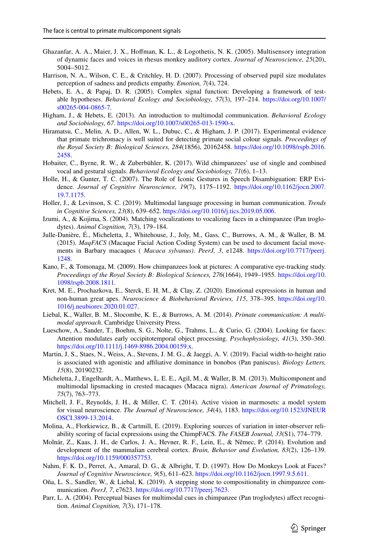- <span id="page-14-14"></span>Ghazanfar, A. A., Maier, J. X., Hofman, K. L., & Logothetis, N. K. (2005). Multisensory integration of dynamic faces and voices in rhesus monkey auditory cortex. *Journal of Neuroscience, 25*(20), 5004–5012.
- <span id="page-14-5"></span>Harrison, N. A., Wilson, C. E., & Critchley, H. D. (2007). Processing of observed pupil size modulates perception of sadness and predicts empathy. *Emotion, 7*(4), 724.
- <span id="page-14-11"></span>Hebets, E. A., & Papaj, D. R. (2005). Complex signal function: Developing a framework of testable hypotheses. *Behavioral Ecology and Sociobiology, 57*(3), 197–214. [https://doi.org/10.1007/](https://doi.org/10.1007/s00265-004-0865-7) [s00265-004-0865-7](https://doi.org/10.1007/s00265-004-0865-7).
- <span id="page-14-9"></span>Higham, J., & Hebets, E. (2013). An introduction to multimodal communication. *Behavioral Ecology and Sociobiology, 67*. <https://doi.org/10.1007/s00265-013-1590-x>.
- <span id="page-14-4"></span>Hiramatsu, C., Melin, A. D., Allen, W. L., Dubuc, C., & Higham, J. P. (2017). Experimental evidence that primate trichromacy is well suited for detecting primate social colour signals. *Proceedings of the Royal Society B: Biological Sciences, 284*(1856), 20162458. [https://doi.org/10.1098/rspb.2016.](https://doi.org/10.1098/rspb.2016.2458) [2458](https://doi.org/10.1098/rspb.2016.2458).
- <span id="page-14-18"></span>Hobaiter, C., Byrne, R. W., & Zuberbühler, K. (2017). Wild chimpanzees' use of single and combined vocal and gestural signals. *Behavioral Ecology and Sociobiology, 71*(6), 1–13.
- <span id="page-14-13"></span>Holle, H., & Gunter, T. C. (2007). The Role of Iconic Gestures in Speech Disambiguation: ERP Evidence. *Journal of Cognitive Neuroscience, 19*(7), 1175–1192. [https://doi.org/10.1162/jocn.2007.](https://doi.org/10.1162/jocn.2007.19.7.1175) [19.7.1175](https://doi.org/10.1162/jocn.2007.19.7.1175).
- <span id="page-14-12"></span>Holler, J., & Levinson, S. C. (2019). Multimodal language processing in human communication. *Trends in Cognitive Sciences, 23*(8), 639–652. [https://doi.org/10.1016/j.tics.2019.05.006.](https://doi.org/10.1016/j.tics.2019.05.006)
- <span id="page-14-15"></span>Izumi, A., & Kojima, S. (2004). Matching vocalizations to vocalizing faces in a chimpanzee (Pan troglodytes). *Animal Cognition, 7*(3), 179–184.
- <span id="page-14-20"></span>Julle-Danière, É., Micheletta, J., Whitehouse, J., Joly, M., Gass, C., Burrows, A. M., & Waller, B. M. (2015). *MaqFACS* (Macaque Facial Action Coding System) can be used to document facial movements in Barbary macaques ( *Macaca sylvanus)*. *PeerJ, 3*, e1248. [https://doi.org/10.7717/peerj.](https://doi.org/10.7717/peerj.1248) [1248](https://doi.org/10.7717/peerj.1248).
- <span id="page-14-7"></span>Kano, F., & Tomonaga, M. (2009). How chimpanzees look at pictures: A comparative eye-tracking study. *Proceedings of the Royal Society B: Biological Sciences, 276*(1664), 1949–1955. [https://doi.org/10.](https://doi.org/10.1098/rspb.2008.1811) [1098/rspb.2008.1811](https://doi.org/10.1098/rspb.2008.1811).
- <span id="page-14-21"></span>Kret, M. E., Prochazkova, E., Sterck, E. H. M., & Clay, Z. (2020). Emotional expressions in human and non-human great apes. *Neuroscience & Biobehavioral Reviews, 115*, 378–395. [https://doi.org/10.](https://doi.org/10.1016/j.neubiorev.2020.01.027) [1016/j.neubiorev.2020.01.027.](https://doi.org/10.1016/j.neubiorev.2020.01.027)
- <span id="page-14-0"></span>Liebal, K., Waller, B. M., Slocombe, K. E., & Burrows, A. M. (2014). *Primate communication: A multimodal approach*. Cambridge University Press.
- <span id="page-14-8"></span>Lueschow, A., Sander, T., Boehm, S. G., Nolte, G., Trahms, L., & Curio, G. (2004). Looking for faces: Attention modulates early occipitotemporal object processing. *Psychophysiology, 41*(3), 350–360. <https://doi.org/10.1111/j.1469-8986.2004.00159.x>.
- <span id="page-14-6"></span>Martin, J. S., Staes, N., Weiss, A., Stevens, J. M. G., & Jaeggi, A. V. (2019). Facial width-to-height ratio is associated with agonistic and afliative dominance in bonobos (Pan paniscus). *Biology Letters, 15*(8), 20190232.
- <span id="page-14-10"></span>Micheletta, J., Engelhardt, A., Matthews, L. E. E., Agil, M., & Waller, B. M. (2013). Multicomponent and multimodal lipsmacking in crested macaques (Macaca nigra). *American Journal of Primatology, 75*(7), 763–773.
- <span id="page-14-1"></span>Mitchell, J. F., Reynolds, J. H., & Miller, C. T. (2014). Active vision in marmosets: a model system for visual neuroscience. *The Journal of Neuroscience, 34*(4), 1183. [https://doi.org/10.1523/JNEUR](https://doi.org/10.1523/JNEUROSCI.3899-13.2014) [OSCI.3899-13.2014.](https://doi.org/10.1523/JNEUROSCI.3899-13.2014)
- <span id="page-14-19"></span>Molina, A., Florkiewicz, B., & Cartmill, E. (2019). Exploring sources of variation in inter-observer reliability scoring of facial expressions using the ChimpFACS. *The FASEB Journal, 33*(S1), 774–779.
- <span id="page-14-3"></span>Molnár, Z., Kaas, J. H., de Carlos, J. A., Hevner, R. F., Lein, E., & Němec, P. (2014). Evolution and development of the mammalian cerebral cortex. *Brain, Behavior and Evolution, 83*(2), 126–139. <https://doi.org/10.1159/000357753>.
- <span id="page-14-2"></span>Nahm, F. K. D., Perret, A., Amaral, D. G., & Albright, T. D. (1997). How Do Monkeys Look at Faces? *Journal of Cognitive Neuroscience, 9*(5), 611–623. [https://doi.org/10.1162/jocn.1997.9.5.611.](https://doi.org/10.1162/jocn.1997.9.5.611)
- <span id="page-14-17"></span>Oña, L. S., Sandler, W., & Liebal, K. (2019). A stepping stone to compositionality in chimpanzee communication. *PeerJ, 7*, e7623. <https://doi.org/10.7717/peerj.7623>.
- <span id="page-14-16"></span>Parr, L. A. (2004). Perceptual biases for multimodal cues in chimpanzee (Pan troglodytes) afect recognition. *Animal Cognition, 7*(3), 171–178.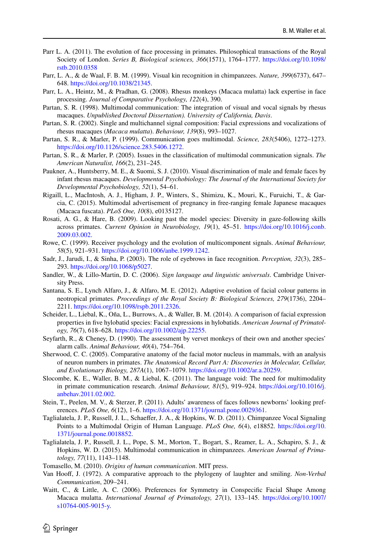- <span id="page-15-6"></span>Parr L. A. (2011). The evolution of face processing in primates. Philosophical transactions of the Royal Society of London. *Series B, Biological sciences, 366*(1571), 1764–1777. [https://doi.org/10.1098/](https://doi.org/10.1098/rstb.2010.0358) [rstb.2010.0358](https://doi.org/10.1098/rstb.2010.0358)
- <span id="page-15-8"></span>Parr, L. A., & de Waal, F. B. M. (1999). Visual kin recognition in chimpanzees. *Nature, 399*(6737), 647– 648.<https://doi.org/10.1038/21345>.
- <span id="page-15-10"></span>Parr, L. A., Heintz, M., & Pradhan, G. (2008). Rhesus monkeys (Macaca mulatta) lack expertise in face processing. *Journal of Comparative Psychology, 122*(4), 390.
- <span id="page-15-20"></span>Partan, S. R. (1998). Multimodal communication: The integration of visual and vocal signals by rhesus macaques. *Unpublished Doctoral Dissertation). University of California, Davis*.
- <span id="page-15-18"></span>Partan, S. R. (2002). Single and multichannel signal composition: Facial expressions and vocalizations of rhesus macaques (*Macaca mulatta*). *Behaviour, 139*(8), 993–1027.
- <span id="page-15-0"></span>Partan, S. R., & Marler, P. (1999). Communication goes multimodal. *Science, 283*(5406), 1272–1273. <https://doi.org/10.1126/science.283.5406.1272>.
- <span id="page-15-13"></span>Partan, S. R., & Marler, P. (2005). Issues in the classifcation of multimodal communication signals. *The American Naturalist, 166*(2), 231–245.
- <span id="page-15-7"></span>Paukner, A., Huntsberry, M. E., & Suomi, S. J. (2010). Visual discrimination of male and female faces by infant rhesus macaques. *Developmental Psychobiology: The Journal of the International Society for Developmental Psychobiology, 52*(1), 54–61.
- <span id="page-15-19"></span>Rigaill, L., MacIntosh, A. J., Higham, J. P., Winters, S., Shimizu, K., Mouri, K., Furuichi, T., & Garcia, C. (2015). Multimodal advertisement of pregnancy in free-ranging female Japanese macaques (Macaca fuscata). *PLoS One, 10*(8), e0135127.
- <span id="page-15-23"></span>Rosati, A. G., & Hare, B. (2009). Looking past the model species: Diversity in gaze-following skills across primates. *Current Opinion in Neurobiology, 19*(1), 45–51. [https://doi.org/10.1016/j.conb.](https://doi.org/10.1016/j.conb.2009.03.002) [2009.03.002](https://doi.org/10.1016/j.conb.2009.03.002).
- <span id="page-15-1"></span>Rowe, C. (1999). Receiver psychology and the evolution of multicomponent signals. *Animal Behaviour, 58*(5), 921–931. [https://doi.org/10.1006/anbe.1999.1242.](https://doi.org/10.1006/anbe.1999.1242)
- <span id="page-15-5"></span>Sadr, J., Jarudi, I., & Sinha, P. (2003). The role of eyebrows in face recognition. *Perception, 32*(3), 285– 293.<https://doi.org/10.1068/p5027>.
- <span id="page-15-17"></span>Sandler, W., & Lillo-Martin, D. C. (2006). *Sign language and linguistic universals*. Cambridge University Press.
- <span id="page-15-4"></span>Santana, S. E., Lynch Alfaro, J., & Alfaro, M. E. (2012). Adaptive evolution of facial colour patterns in neotropical primates. *Proceedings of the Royal Society B: Biological Sciences, 279*(1736), 2204– 2211.<https://doi.org/10.1098/rspb.2011.2326>.
- <span id="page-15-22"></span>Scheider, L., Liebal, K., Oña, L., Burrows, A., & Waller, B. M. (2014). A comparison of facial expression properties in fve hylobatid species: Facial expressions in hylobatids. *American Journal of Primatology, 76*(7), 618–628. [https://doi.org/10.1002/ajp.22255.](https://doi.org/10.1002/ajp.22255)
- <span id="page-15-16"></span>Seyfarth, R., & Cheney, D. (1990). The assessment by vervet monkeys of their own and another species' alarm calls. *Animal Behaviour, 40*(4), 754–764.
- <span id="page-15-3"></span>Sherwood, C. C. (2005). Comparative anatomy of the facial motor nucleus in mammals, with an analysis of neuron numbers in primates. *The Anatomical Record Part A: Discoveries in Molecular, Cellular, and Evolutionary Biology, 287A*(1), 1067–1079. [https://doi.org/10.1002/ar.a.20259.](https://doi.org/10.1002/ar.a.20259)
- <span id="page-15-2"></span>Slocombe, K. E., Waller, B. M., & Liebal, K. (2011). The language void: The need for multimodality in primate communication research. *Animal Behaviour, 81*(5), 919–924. [https://doi.org/10.1016/j.](https://doi.org/10.1016/j.anbehav.2011.02.002) [anbehav.2011.02.002.](https://doi.org/10.1016/j.anbehav.2011.02.002)
- <span id="page-15-11"></span>Stein, T., Peelen, M. V., & Sterzer, P. (2011). Adults' awareness of faces follows newborns' looking preferences. *PLoS One, 6*(12), 1–6. [https://doi.org/10.1371/journal.pone.0029361.](https://doi.org/10.1371/journal.pone.0029361)
- <span id="page-15-15"></span>Taglialatela, J. P., Russell, J. L., Schaefer, J. A., & Hopkins, W. D. (2011). Chimpanzee Vocal Signaling Points to a Multimodal Origin of Human Language. *PLoS One, 6*(4), e18852. [https://doi.org/10.](https://doi.org/10.1371/journal.pone.0018852) [1371/journal.pone.0018852.](https://doi.org/10.1371/journal.pone.0018852)
- <span id="page-15-14"></span>Taglialatela, J. P., Russell, J. L., Pope, S. M., Morton, T., Bogart, S., Reamer, L. A., Schapiro, S. J., & Hopkins, W. D. (2015). Multimodal communication in chimpanzees. *American Journal of Primatology, 77*(11), 1143–1148.
- <span id="page-15-12"></span>Tomasello, M. (2010). *Origins of human communication*. MIT press.
- <span id="page-15-21"></span>Van Hoof, J. (1972). A comparative approach to the phylogeny of laughter and smiling. *Non-Verbal Communication*, 209–241.
- <span id="page-15-9"></span>Waitt, C., & Little, A. C. (2006). Preferences for Symmetry in Conspecific Facial Shape Among Macaca mulatta. *International Journal of Primatology, 27*(1), 133–145. [https://doi.org/10.1007/](https://doi.org/10.1007/s10764-005-9015-y) [s10764-005-9015-y.](https://doi.org/10.1007/s10764-005-9015-y)